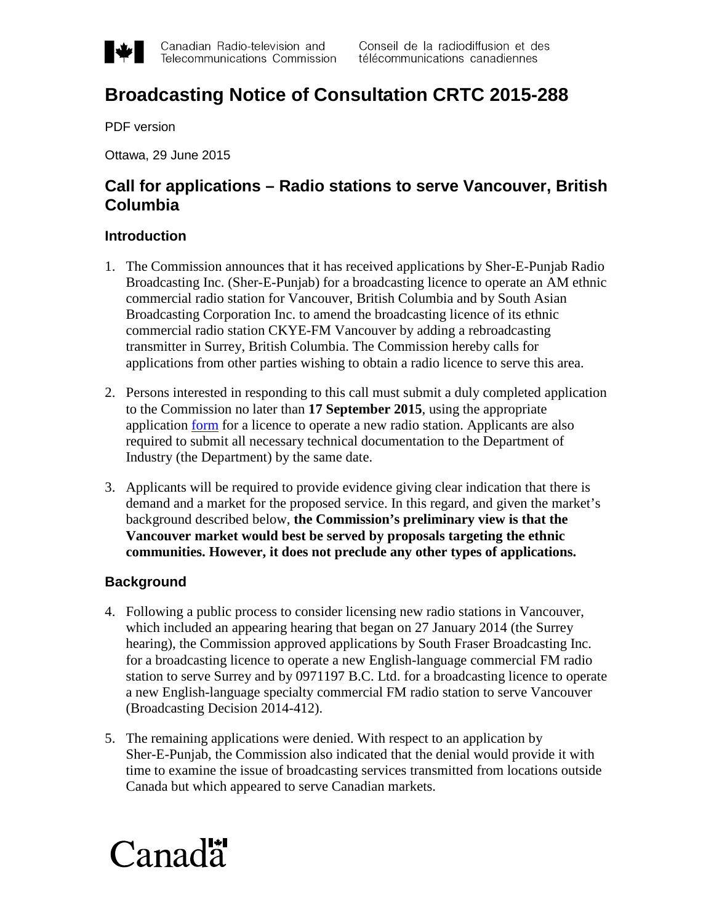

# **Broadcasting Notice of Consultation CRTC 2015-288**

PDF version

Ottawa, 29 June 2015

# **Call for applications – Radio stations to serve Vancouver, British Columbia**

## **Introduction**

- 1. The Commission announces that it has received applications by Sher-E-Punjab Radio Broadcasting Inc. (Sher-E-Punjab) for a broadcasting licence to operate an AM ethnic commercial radio station for Vancouver, British Columbia and by South Asian Broadcasting Corporation Inc. to amend the broadcasting licence of its ethnic commercial radio station CKYE-FM Vancouver by adding a rebroadcasting transmitter in Surrey, British Columbia. The Commission hereby calls for applications from other parties wishing to obtain a radio licence to serve this area.
- 2. Persons interested in responding to this call must submit a duly completed application to the Commission no later than **17 September 2015**, using the appropriate application [form](http://www.crtc.gc.ca/eng/forms/form_201.htm) for a licence to operate a new radio station. Applicants are also required to submit all necessary technical documentation to the Department of Industry (the Department) by the same date.
- 3. Applicants will be required to provide evidence giving clear indication that there is demand and a market for the proposed service. In this regard, and given the market's background described below, **the Commission's preliminary view is that the Vancouver market would best be served by proposals targeting the ethnic communities. However, it does not preclude any other types of applications.**

# **Background**

- 4. Following a public process to consider licensing new radio stations in Vancouver, which included an appearing hearing that began on 27 January 2014 (the Surrey hearing), the Commission approved applications by South Fraser Broadcasting Inc. for a broadcasting licence to operate a new English-language commercial FM radio station to serve Surrey and by 0971197 B.C. Ltd. for a broadcasting licence to operate a new English-language specialty commercial FM radio station to serve Vancouver (Broadcasting Decision 2014-412).
- 5. The remaining applications were denied. With respect to an application by Sher-E-Punjab, the Commission also indicated that the denial would provide it with time to examine the issue of broadcasting services transmitted from locations outside Canada but which appeared to serve Canadian markets.

# $Canad\ddot{a}$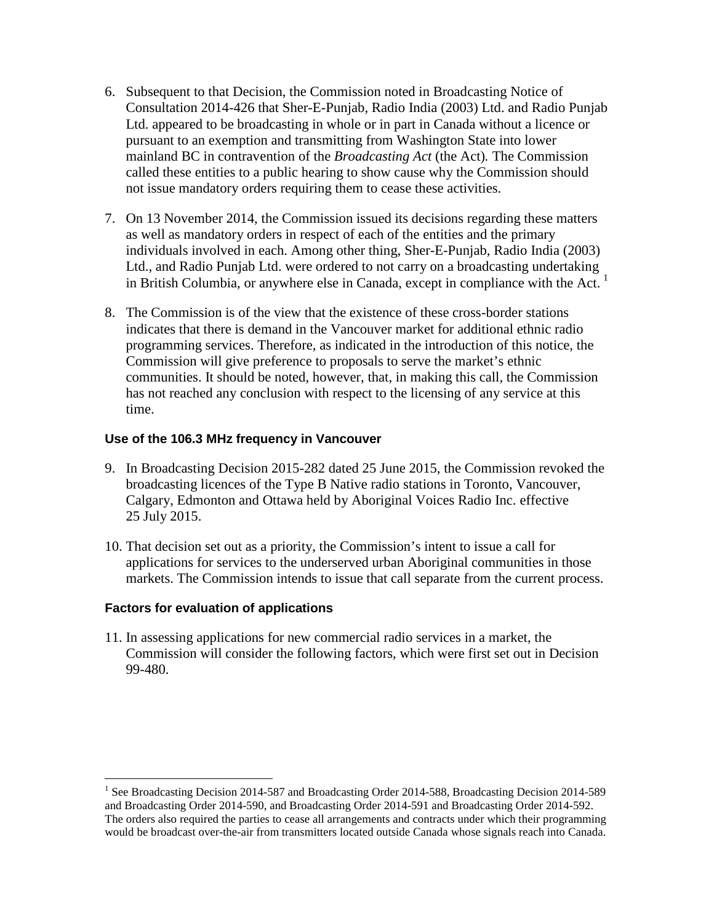- 6. Subsequent to that Decision, the Commission noted in Broadcasting Notice of Consultation 2014-426 that Sher-E-Punjab, Radio India (2003) Ltd. and Radio Punjab Ltd. appeared to be broadcasting in whole or in part in Canada without a licence or pursuant to an exemption and transmitting from Washington State into lower mainland BC in contravention of the *Broadcasting Act* (the Act)*.* The Commission called these entities to a public hearing to show cause why the Commission should not issue mandatory orders requiring them to cease these activities.
- 7. On 13 November 2014, the Commission issued its decisions regarding these matters as well as mandatory orders in respect of each of the entities and the primary individuals involved in each. Among other thing, Sher-E-Punjab, Radio India (2003) Ltd., and Radio Punjab Ltd. were ordered to not carry on a broadcasting undertaking in British Columbia, or anywhere else in Canada, except in compliance with the Act.<sup>[1](#page-1-0)</sup>
- 8. The Commission is of the view that the existence of these cross-border stations indicates that there is demand in the Vancouver market for additional ethnic radio programming services. Therefore, as indicated in the introduction of this notice, the Commission will give preference to proposals to serve the market's ethnic communities. It should be noted, however, that, in making this call, the Commission has not reached any conclusion with respect to the licensing of any service at this time.

## **Use of the 106.3 MHz frequency in Vancouver**

- 9. In Broadcasting Decision 2015-282 dated 25 June 2015, the Commission revoked the broadcasting licences of the Type B Native radio stations in Toronto, Vancouver, Calgary, Edmonton and Ottawa held by Aboriginal Voices Radio Inc. effective 25 July 2015.
- 10. That decision set out as a priority, the Commission's intent to issue a call for applications for services to the underserved urban Aboriginal communities in those markets. The Commission intends to issue that call separate from the current process.

## **Factors for evaluation of applications**

11. In assessing applications for new commercial radio services in a market, the Commission will consider the following factors, which were first set out in Decision 99-480.

<span id="page-1-0"></span><sup>&</sup>lt;sup>1</sup> See Broadcasting Decision 2014-587 and Broadcasting Order 2014-588, Broadcasting Decision 2014-589 and Broadcasting Order 2014-590, and Broadcasting Order 2014-591 and Broadcasting Order 2014-592. The orders also required the parties to cease all arrangements and contracts under which their programming would be broadcast over-the-air from transmitters located outside Canada whose signals reach into Canada.  $\overline{a}$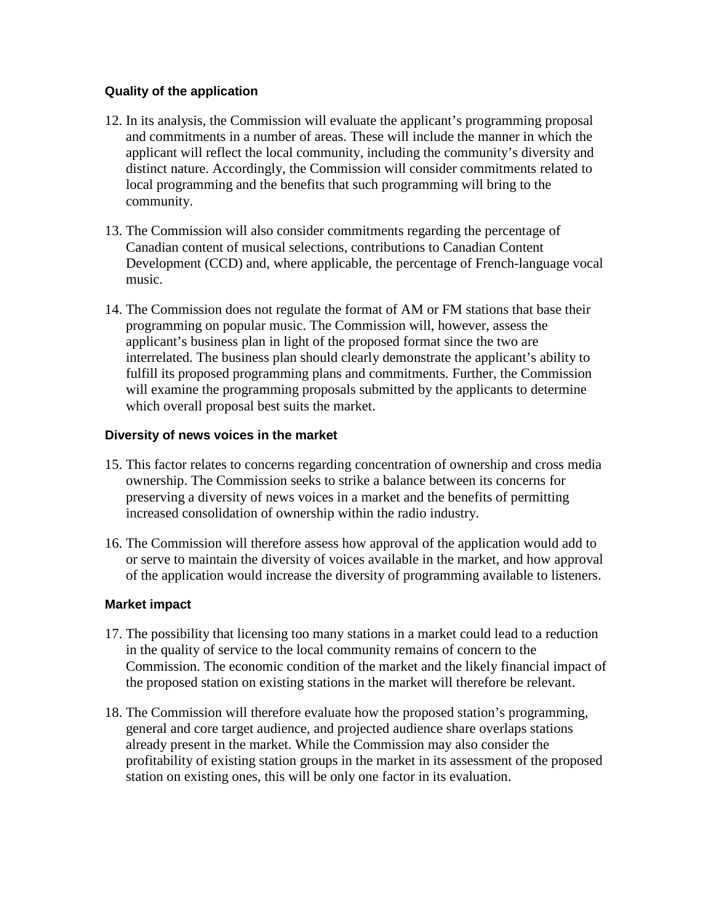## **Quality of the application**

- 12. In its analysis, the Commission will evaluate the applicant's programming proposal and commitments in a number of areas. These will include the manner in which the applicant will reflect the local community, including the community's diversity and distinct nature. Accordingly, the Commission will consider commitments related to local programming and the benefits that such programming will bring to the community.
- 13. The Commission will also consider commitments regarding the percentage of Canadian content of musical selections, contributions to Canadian Content Development (CCD) and, where applicable, the percentage of French-language vocal music.
- 14. The Commission does not regulate the format of AM or FM stations that base their programming on popular music. The Commission will, however, assess the applicant's business plan in light of the proposed format since the two are interrelated. The business plan should clearly demonstrate the applicant's ability to fulfill its proposed programming plans and commitments. Further, the Commission will examine the programming proposals submitted by the applicants to determine which overall proposal best suits the market.

# **Diversity of news voices in the market**

- 15. This factor relates to concerns regarding concentration of ownership and cross media ownership. The Commission seeks to strike a balance between its concerns for preserving a diversity of news voices in a market and the benefits of permitting increased consolidation of ownership within the radio industry.
- 16. The Commission will therefore assess how approval of the application would add to or serve to maintain the diversity of voices available in the market, and how approval of the application would increase the diversity of programming available to listeners.

# **Market impact**

- 17. The possibility that licensing too many stations in a market could lead to a reduction in the quality of service to the local community remains of concern to the Commission. The economic condition of the market and the likely financial impact of the proposed station on existing stations in the market will therefore be relevant.
- 18. The Commission will therefore evaluate how the proposed station's programming, general and core target audience, and projected audience share overlaps stations already present in the market. While the Commission may also consider the profitability of existing station groups in the market in its assessment of the proposed station on existing ones, this will be only one factor in its evaluation.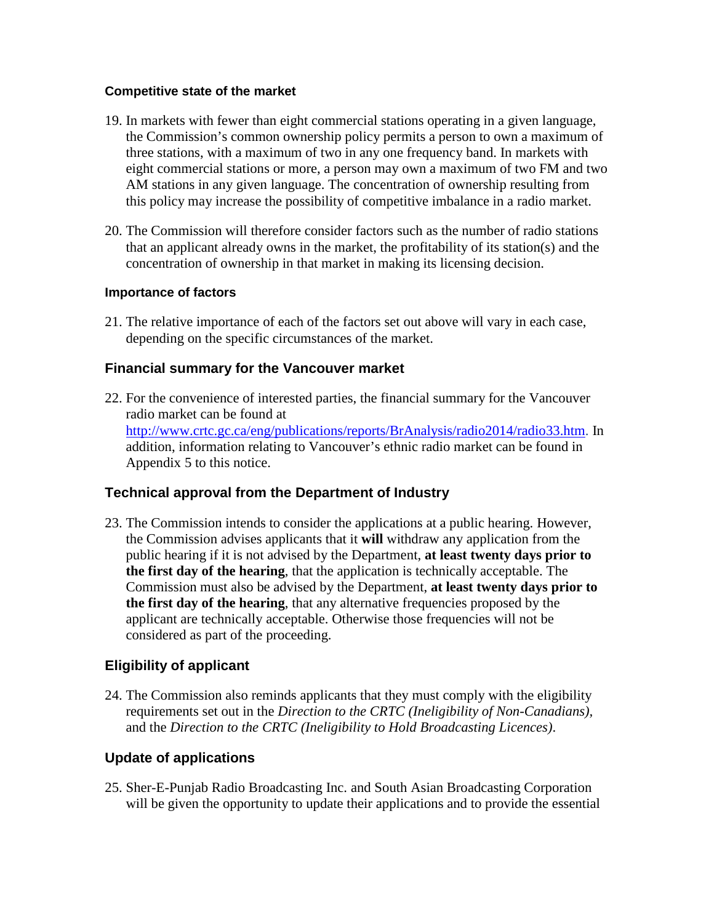## **Competitive state of the market**

- 19. In markets with fewer than eight commercial stations operating in a given language, the Commission's common ownership policy permits a person to own a maximum of three stations, with a maximum of two in any one frequency band. In markets with eight commercial stations or more, a person may own a maximum of two FM and two AM stations in any given language. The concentration of ownership resulting from this policy may increase the possibility of competitive imbalance in a radio market.
- 20. The Commission will therefore consider factors such as the number of radio stations that an applicant already owns in the market, the profitability of its station(s) and the concentration of ownership in that market in making its licensing decision.

# **Importance of factors**

21. The relative importance of each of the factors set out above will vary in each case, depending on the specific circumstances of the market.

# **Financial summary for the Vancouver market**

22. For the convenience of interested parties, the financial summary for the Vancouver radio market can be found at [http://www.crtc.gc.ca/eng/publications/reports/BrAnalysis/radio2014/radio33.htm.](http://www.crtc.gc.ca/eng/publications/reports/BrAnalysis/radio2014/radio33.htm) In addition, information relating to Vancouver's ethnic radio market can be found in Appendix 5 to this notice.

# **Technical approval from the Department of Industry**

23. The Commission intends to consider the applications at a public hearing. However, the Commission advises applicants that it **will** withdraw any application from the public hearing if it is not advised by the Department, **at least twenty days prior to the first day of the hearing**, that the application is technically acceptable. The Commission must also be advised by the Department, **at least twenty days prior to the first day of the hearing**, that any alternative frequencies proposed by the applicant are technically acceptable. Otherwise those frequencies will not be considered as part of the proceeding.

# **Eligibility of applicant**

24. The Commission also reminds applicants that they must comply with the eligibility requirements set out in the *Direction to the CRTC (Ineligibility of Non-Canadians),* and the *Direction to the CRTC (Ineligibility to Hold Broadcasting Licences)*.

# **Update of applications**

25. Sher-E-Punjab Radio Broadcasting Inc. and South Asian Broadcasting Corporation will be given the opportunity to update their applications and to provide the essential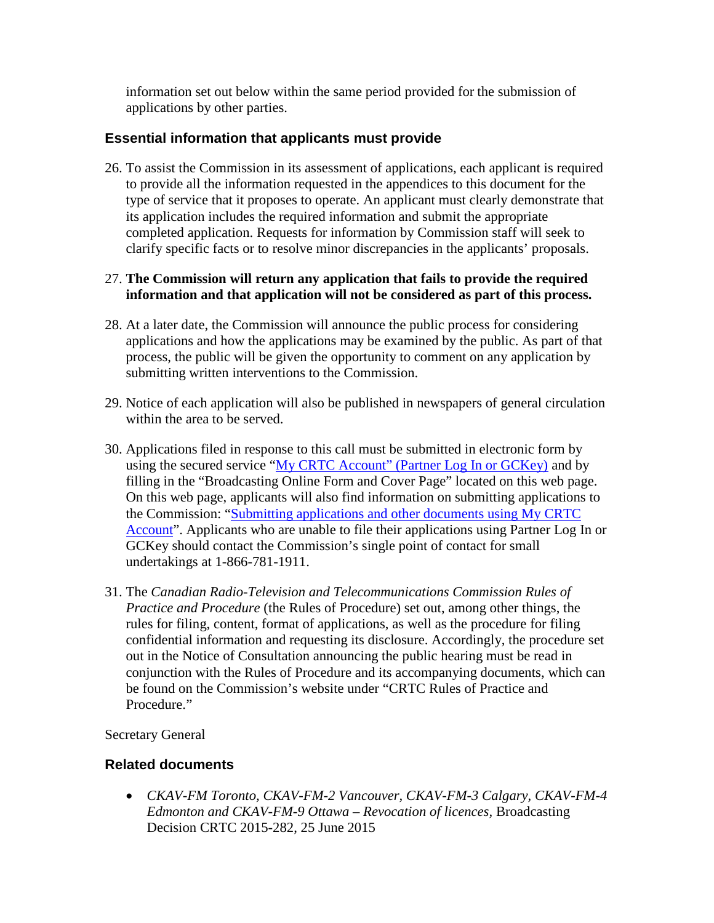information set out below within the same period provided for the submission of applications by other parties.

# **Essential information that applicants must provide**

26. To assist the Commission in its assessment of applications, each applicant is required to provide all the information requested in the appendices to this document for the type of service that it proposes to operate. An applicant must clearly demonstrate that its application includes the required information and submit the appropriate completed application. Requests for information by Commission staff will seek to clarify specific facts or to resolve minor discrepancies in the applicants' proposals.

# 27. **The Commission will return any application that fails to provide the required information and that application will not be considered as part of this process.**

- 28. At a later date, the Commission will announce the public process for considering applications and how the applications may be examined by the public. As part of that process, the public will be given the opportunity to comment on any application by submitting written interventions to the Commission.
- 29. Notice of each application will also be published in newspapers of general circulation within the area to be served.
- 30. Applications filed in response to this call must be submitted in electronic form by using the secured service ["My CRTC Account" \(Partner Log In or GCKey\)](http://www.crtc.gc.ca/eng/forms/form_index.htm) and by filling in the "Broadcasting Online Form and Cover Page" located on this web page. On this web page, applicants will also find information on submitting applications to the Commission: ["Submitting applications and other documents using My CRTC](http://www.crtc.gc.ca/eng/Info_sht/g100.htm)  [Account"](http://www.crtc.gc.ca/eng/Info_sht/g100.htm). Applicants who are unable to file their applications using Partner Log In or GCKey should contact the Commission's single point of contact for small undertakings at 1-866-781-1911.
- 31. The *Canadian Radio-Television and Telecommunications Commission Rules of Practice and Procedure* (the Rules of Procedure) set out, among other things, the rules for filing, content, format of applications, as well as the procedure for filing confidential information and requesting its disclosure. Accordingly, the procedure set out in the Notice of Consultation announcing the public hearing must be read in conjunction with the Rules of Procedure and its accompanying documents, which can be found on the Commission's website under "CRTC Rules of Practice and Procedure."

Secretary General

# **Related documents**

• *CKAV-FM Toronto, CKAV-FM-2 Vancouver, CKAV-FM-3 Calgary, CKAV-FM-4 Edmonton and CKAV-FM-9 Ottawa – Revocation of licences,* Broadcasting Decision CRTC 2015-282, 25 June 2015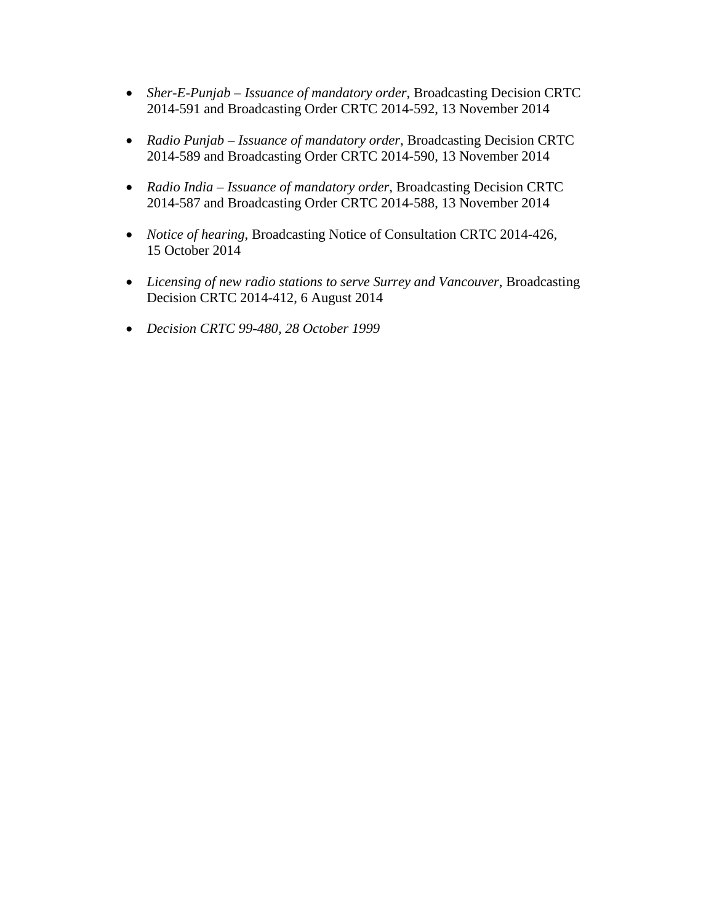- *Sher-E-Punjab – Issuance of mandatory order*, Broadcasting Decision CRTC 2014-591 and Broadcasting Order CRTC 2014-592, 13 November 2014
- *Radio Punjab – Issuance of mandatory order*, Broadcasting Decision CRTC 2014-589 and Broadcasting Order CRTC 2014-590, 13 November 2014
- *Radio India – Issuance of mandatory order*, Broadcasting Decision CRTC 2014-587 and Broadcasting Order CRTC 2014-588, 13 November 2014
- *Notice of hearing*, Broadcasting Notice of Consultation CRTC 2014-426, 15 October 2014
- *Licensing of new radio stations to serve Surrey and Vancouver*, Broadcasting Decision CRTC 2014-412, 6 August 2014
- *Decision CRTC 99-480, 28 October 1999*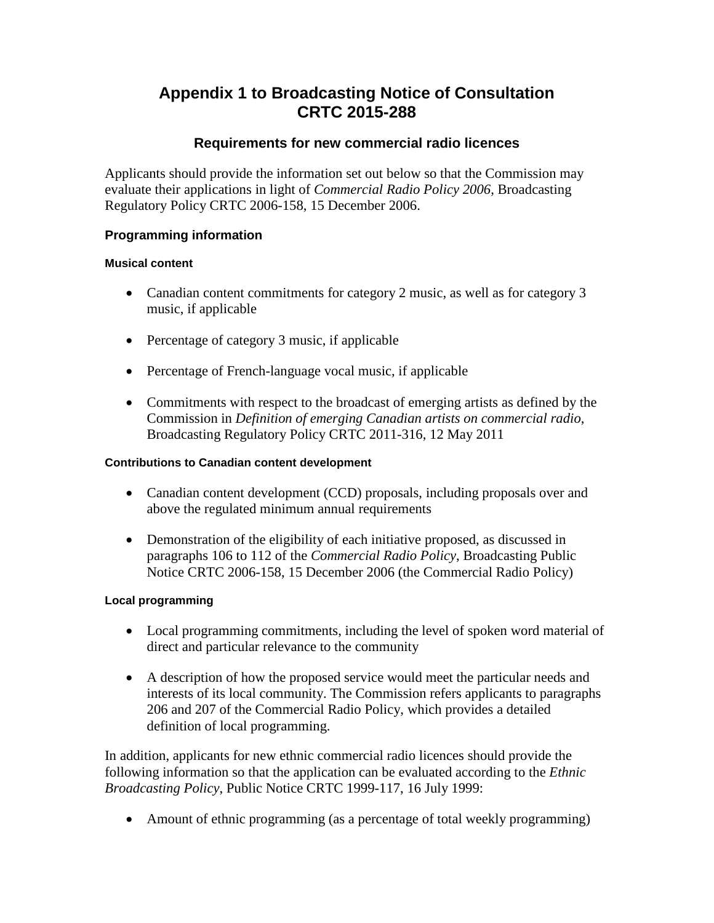# **Appendix 1 to Broadcasting Notice of Consultation CRTC 2015-288**

# **Requirements for new commercial radio licences**

Applicants should provide the information set out below so that the Commission may evaluate their applications in light of *Commercial Radio Policy 2006*, Broadcasting Regulatory Policy CRTC 2006-158, 15 December 2006.

# **Programming information**

#### **Musical content**

- Canadian content commitments for category 2 music, as well as for category 3 music, if applicable
- Percentage of category 3 music, if applicable
- Percentage of French-language vocal music, if applicable
- Commitments with respect to the broadcast of emerging artists as defined by the Commission in *Definition of emerging Canadian artists on commercial radio*, Broadcasting Regulatory Policy CRTC 2011-316, 12 May 2011

#### **Contributions to Canadian content development**

- Canadian content development (CCD) proposals, including proposals over and above the regulated minimum annual requirements
- Demonstration of the eligibility of each initiative proposed, as discussed in paragraphs 106 to 112 of the *Commercial Radio Policy*, Broadcasting Public Notice CRTC 2006-158, 15 December 2006 (the Commercial Radio Policy)

## **Local programming**

- Local programming commitments, including the level of spoken word material of direct and particular relevance to the community
- A description of how the proposed service would meet the particular needs and interests of its local community. The Commission refers applicants to paragraphs 206 and 207 of the Commercial Radio Policy, which provides a detailed definition of local programming.

In addition, applicants for new ethnic commercial radio licences should provide the following information so that the application can be evaluated according to the *Ethnic Broadcasting Policy*, Public Notice CRTC 1999-117, 16 July 1999:

• Amount of ethnic programming (as a percentage of total weekly programming)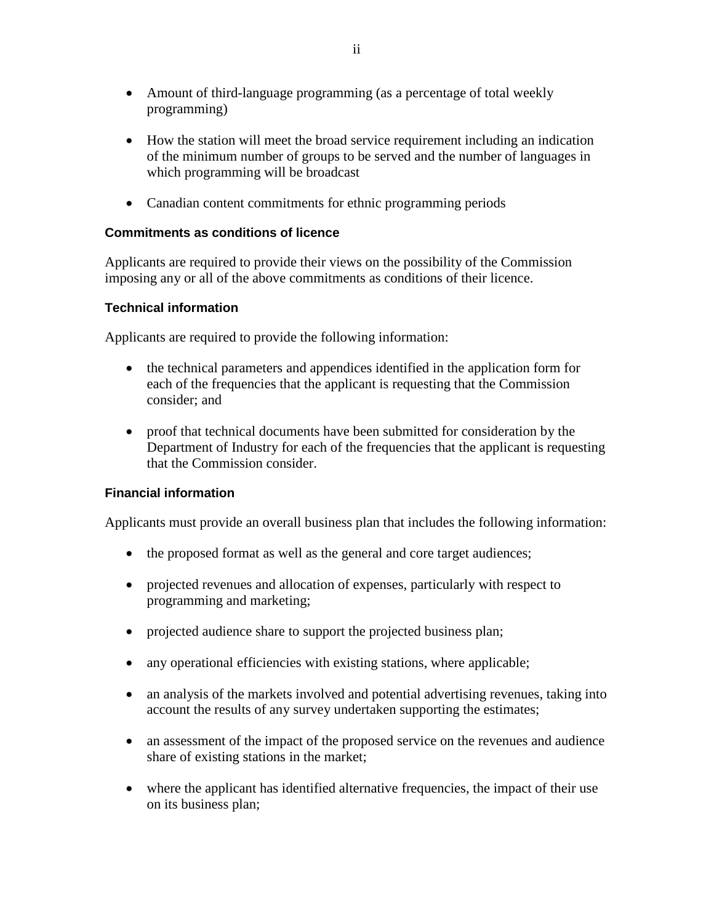- Amount of third-language programming (as a percentage of total weekly programming)
- How the station will meet the broad service requirement including an indication of the minimum number of groups to be served and the number of languages in which programming will be broadcast
- Canadian content commitments for ethnic programming periods

## **Commitments as conditions of licence**

Applicants are required to provide their views on the possibility of the Commission imposing any or all of the above commitments as conditions of their licence.

## **Technical information**

Applicants are required to provide the following information:

- the technical parameters and appendices identified in the application form for each of the frequencies that the applicant is requesting that the Commission consider; and
- proof that technical documents have been submitted for consideration by the Department of Industry for each of the frequencies that the applicant is requesting that the Commission consider.

## **Financial information**

Applicants must provide an overall business plan that includes the following information:

- the proposed format as well as the general and core target audiences;
- projected revenues and allocation of expenses, particularly with respect to programming and marketing;
- projected audience share to support the projected business plan;
- any operational efficiencies with existing stations, where applicable;
- an analysis of the markets involved and potential advertising revenues, taking into account the results of any survey undertaken supporting the estimates;
- an assessment of the impact of the proposed service on the revenues and audience share of existing stations in the market;
- where the applicant has identified alternative frequencies, the impact of their use on its business plan;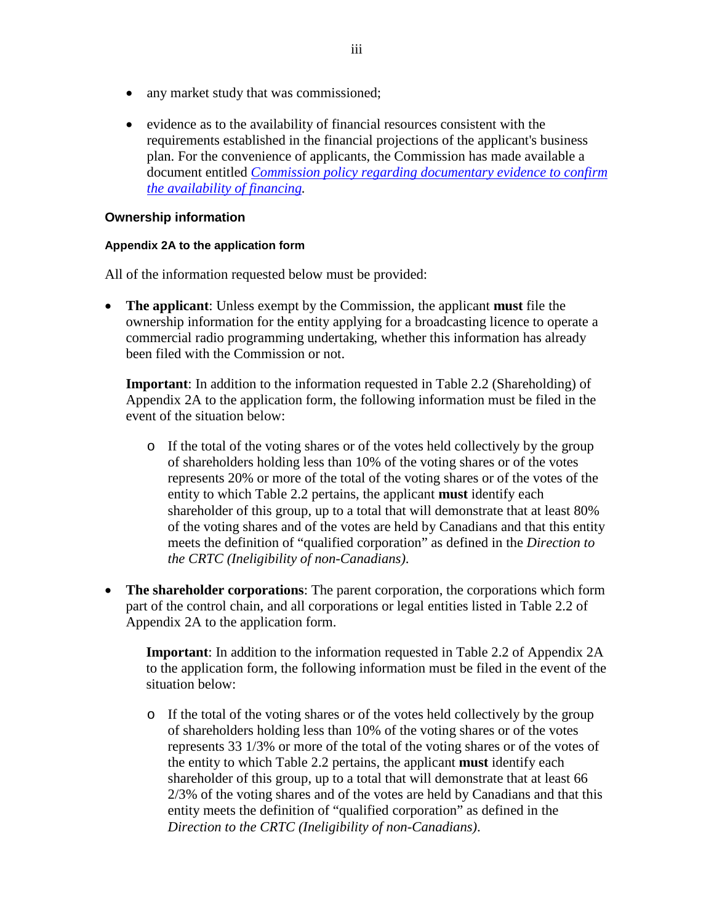- any market study that was commissioned;
- evidence as to the availability of financial resources consistent with the requirements established in the financial projections of the applicant's business plan. For the convenience of applicants, the Commission has made available a document entitled *[Commission policy regarding documentary evidence to confirm](http://www.crtc.gc.ca./eng/GENERAL/doc_evid_finance.htm)  [the availability of financing.](http://www.crtc.gc.ca./eng/GENERAL/doc_evid_finance.htm)*

#### **Ownership information**

#### **Appendix 2A to the application form**

All of the information requested below must be provided:

• **The applicant**: Unless exempt by the Commission, the applicant **must** file the ownership information for the entity applying for a broadcasting licence to operate a commercial radio programming undertaking, whether this information has already been filed with the Commission or not.

**Important**: In addition to the information requested in Table 2.2 (Shareholding) of Appendix 2A to the application form, the following information must be filed in the event of the situation below:

- o If the total of the voting shares or of the votes held collectively by the group of shareholders holding less than 10% of the voting shares or of the votes represents 20% or more of the total of the voting shares or of the votes of the entity to which Table 2.2 pertains, the applicant **must** identify each shareholder of this group, up to a total that will demonstrate that at least 80% of the voting shares and of the votes are held by Canadians and that this entity meets the definition of "qualified corporation" as defined in the *Direction to the CRTC (Ineligibility of non-Canadians)*.
- **The shareholder corporations**: The parent corporation, the corporations which form part of the control chain, and all corporations or legal entities listed in Table 2.2 of Appendix 2A to the application form.

**Important**: In addition to the information requested in Table 2.2 of Appendix 2A to the application form, the following information must be filed in the event of the situation below:

o If the total of the voting shares or of the votes held collectively by the group of shareholders holding less than 10% of the voting shares or of the votes represents 33 1/3% or more of the total of the voting shares or of the votes of the entity to which Table 2.2 pertains, the applicant **must** identify each shareholder of this group, up to a total that will demonstrate that at least 66 2/3% of the voting shares and of the votes are held by Canadians and that this entity meets the definition of "qualified corporation" as defined in the *Direction to the CRTC (Ineligibility of non-Canadians)*.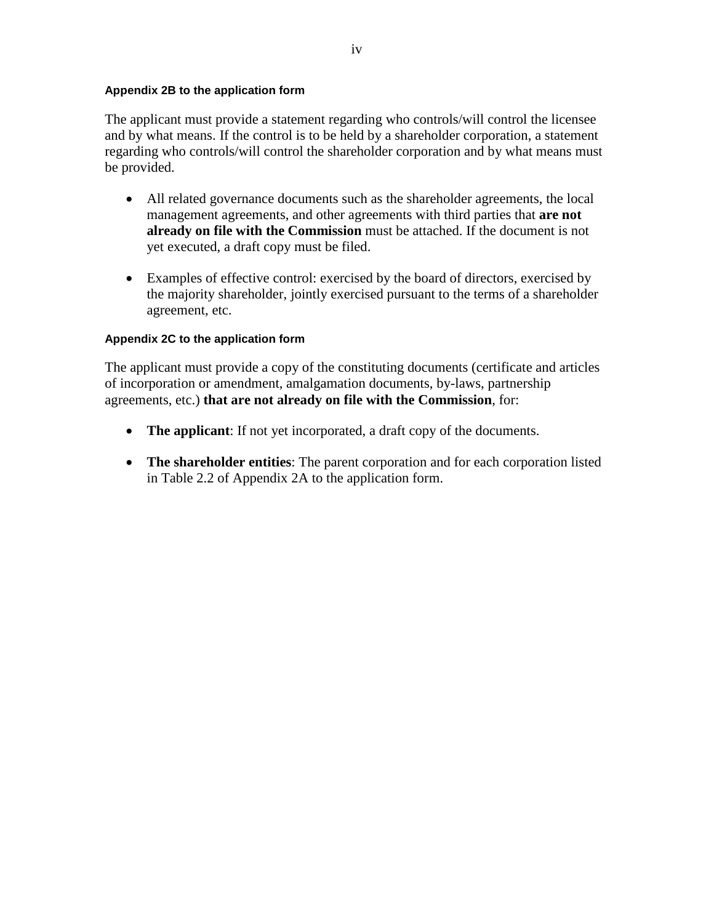#### **Appendix 2B to the application form**

The applicant must provide a statement regarding who controls/will control the licensee and by what means. If the control is to be held by a shareholder corporation, a statement regarding who controls/will control the shareholder corporation and by what means must be provided.

- All related governance documents such as the shareholder agreements, the local management agreements, and other agreements with third parties that **are not already on file with the Commission** must be attached. If the document is not yet executed, a draft copy must be filed.
- Examples of effective control: exercised by the board of directors, exercised by the majority shareholder, jointly exercised pursuant to the terms of a shareholder agreement, etc.

#### **Appendix 2C to the application form**

The applicant must provide a copy of the constituting documents (certificate and articles of incorporation or amendment, amalgamation documents, by-laws, partnership agreements, etc.) **that are not already on file with the Commission**, for:

- **The applicant**: If not yet incorporated, a draft copy of the documents.
- **The shareholder entities**: The parent corporation and for each corporation listed in Table 2.2 of Appendix 2A to the application form.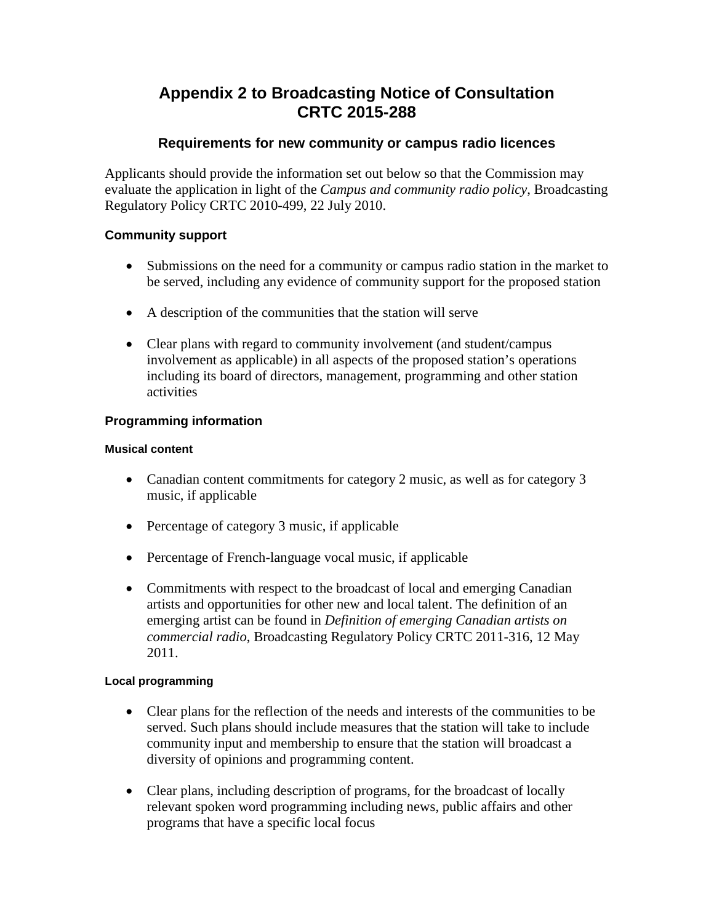# **Appendix 2 to Broadcasting Notice of Consultation CRTC 2015-288**

# **Requirements for new community or campus radio licences**

Applicants should provide the information set out below so that the Commission may evaluate the application in light of the *Campus and community radio policy*, Broadcasting Regulatory Policy CRTC 2010-499, 22 July 2010.

# **Community support**

- Submissions on the need for a community or campus radio station in the market to be served, including any evidence of community support for the proposed station
- A description of the communities that the station will serve
- Clear plans with regard to community involvement (and student/campus involvement as applicable) in all aspects of the proposed station's operations including its board of directors, management, programming and other station activities

# **Programming information**

# **Musical content**

- Canadian content commitments for category 2 music, as well as for category 3 music, if applicable
- Percentage of category 3 music, if applicable
- Percentage of French-language vocal music, if applicable
- Commitments with respect to the broadcast of local and emerging Canadian artists and opportunities for other new and local talent. The definition of an emerging artist can be found in *Definition of emerging Canadian artists on commercial radio*, Broadcasting Regulatory Policy CRTC 2011-316, 12 May 2011.

# **Local programming**

- Clear plans for the reflection of the needs and interests of the communities to be served. Such plans should include measures that the station will take to include community input and membership to ensure that the station will broadcast a diversity of opinions and programming content.
- Clear plans, including description of programs, for the broadcast of locally relevant spoken word programming including news, public affairs and other programs that have a specific local focus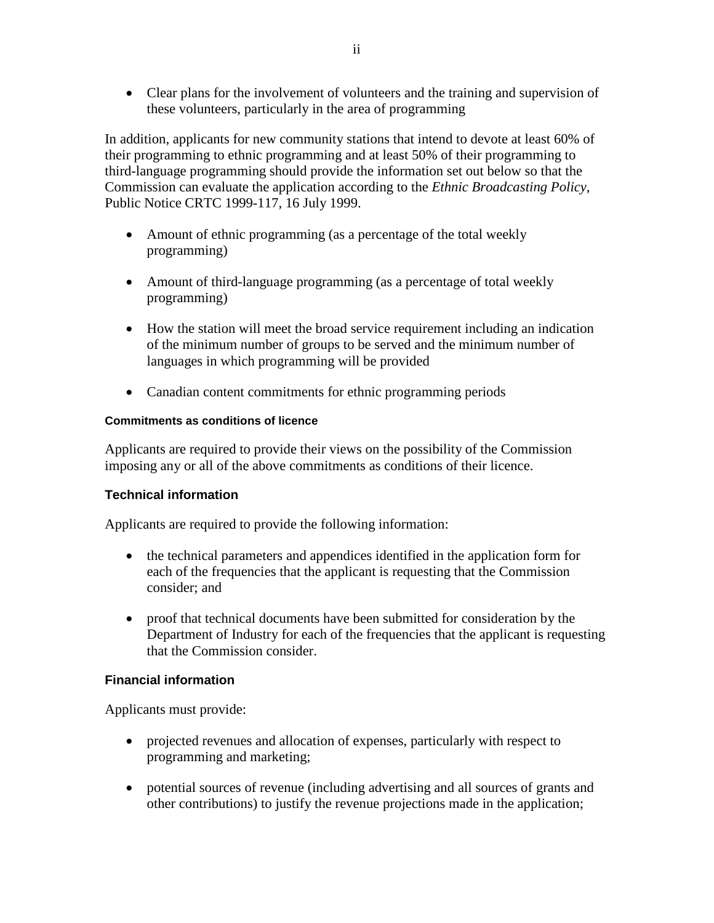• Clear plans for the involvement of volunteers and the training and supervision of these volunteers, particularly in the area of programming

In addition, applicants for new community stations that intend to devote at least 60% of their programming to ethnic programming and at least 50% of their programming to third-language programming should provide the information set out below so that the Commission can evaluate the application according to the *Ethnic Broadcasting Policy*, Public Notice CRTC 1999-117, 16 July 1999.

- Amount of ethnic programming (as a percentage of the total weekly programming)
- Amount of third-language programming (as a percentage of total weekly programming)
- How the station will meet the broad service requirement including an indication of the minimum number of groups to be served and the minimum number of languages in which programming will be provided
- Canadian content commitments for ethnic programming periods

#### **Commitments as conditions of licence**

Applicants are required to provide their views on the possibility of the Commission imposing any or all of the above commitments as conditions of their licence.

## **Technical information**

Applicants are required to provide the following information:

- the technical parameters and appendices identified in the application form for each of the frequencies that the applicant is requesting that the Commission consider; and
- proof that technical documents have been submitted for consideration by the Department of Industry for each of the frequencies that the applicant is requesting that the Commission consider.

## **Financial information**

Applicants must provide:

- projected revenues and allocation of expenses, particularly with respect to programming and marketing;
- potential sources of revenue (including advertising and all sources of grants and other contributions) to justify the revenue projections made in the application;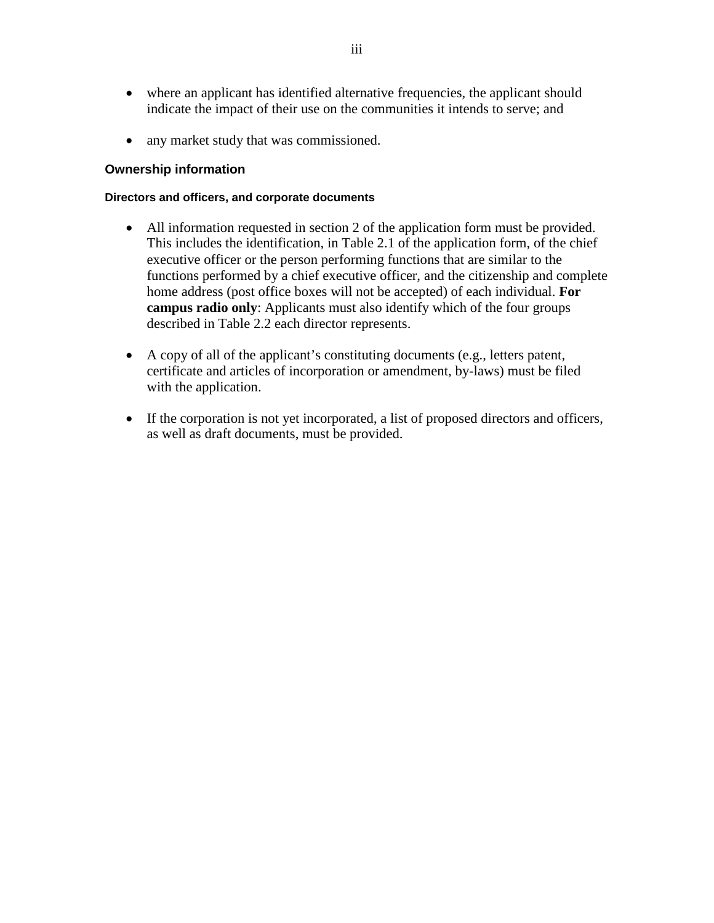- where an applicant has identified alternative frequencies, the applicant should indicate the impact of their use on the communities it intends to serve; and
- any market study that was commissioned.

#### **Ownership information**

#### **Directors and officers, and corporate documents**

- All information requested in section 2 of the application form must be provided. This includes the identification, in Table 2.1 of the application form, of the chief executive officer or the person performing functions that are similar to the functions performed by a chief executive officer, and the citizenship and complete home address (post office boxes will not be accepted) of each individual. **For campus radio only**: Applicants must also identify which of the four groups described in Table 2.2 each director represents.
- A copy of all of the applicant's constituting documents (e.g., letters patent, certificate and articles of incorporation or amendment, by-laws) must be filed with the application.
- If the corporation is not yet incorporated, a list of proposed directors and officers, as well as draft documents, must be provided.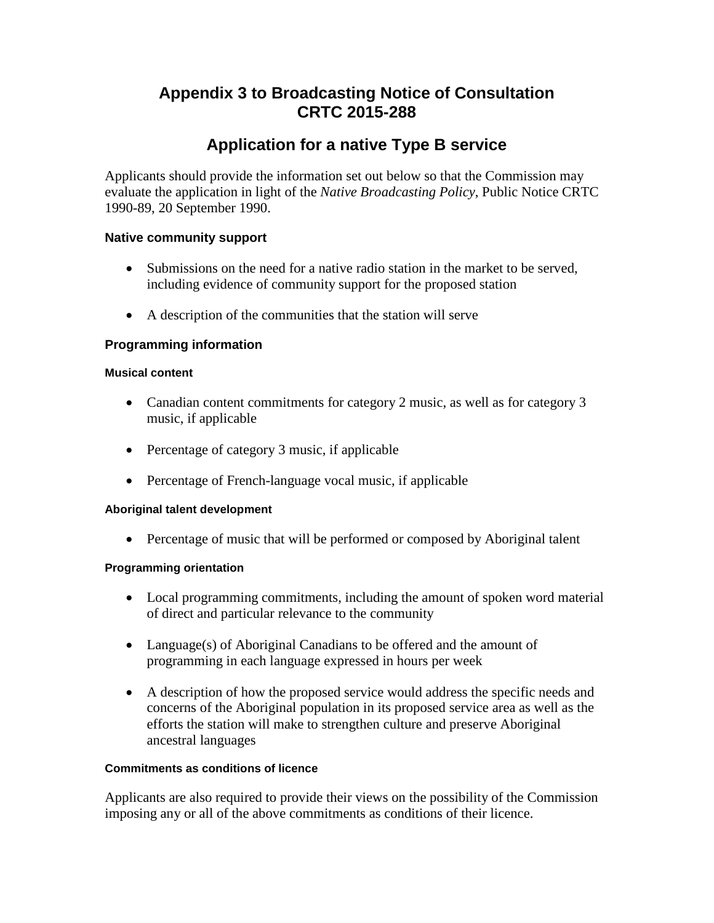# **Appendix 3 to Broadcasting Notice of Consultation CRTC 2015-288**

# **Application for a native Type B service**

Applicants should provide the information set out below so that the Commission may evaluate the application in light of the *Native Broadcasting Policy*, Public Notice CRTC 1990-89, 20 September 1990.

# **Native community support**

- Submissions on the need for a native radio station in the market to be served, including evidence of community support for the proposed station
- A description of the communities that the station will serve

# **Programming information**

#### **Musical content**

- Canadian content commitments for category 2 music, as well as for category 3 music, if applicable
- Percentage of category 3 music, if applicable
- Percentage of French-language vocal music, if applicable

## **Aboriginal talent development**

• Percentage of music that will be performed or composed by Aboriginal talent

## **Programming orientation**

- Local programming commitments, including the amount of spoken word material of direct and particular relevance to the community
- Language(s) of Aboriginal Canadians to be offered and the amount of programming in each language expressed in hours per week
- A description of how the proposed service would address the specific needs and concerns of the Aboriginal population in its proposed service area as well as the efforts the station will make to strengthen culture and preserve Aboriginal ancestral languages

## **Commitments as conditions of licence**

Applicants are also required to provide their views on the possibility of the Commission imposing any or all of the above commitments as conditions of their licence.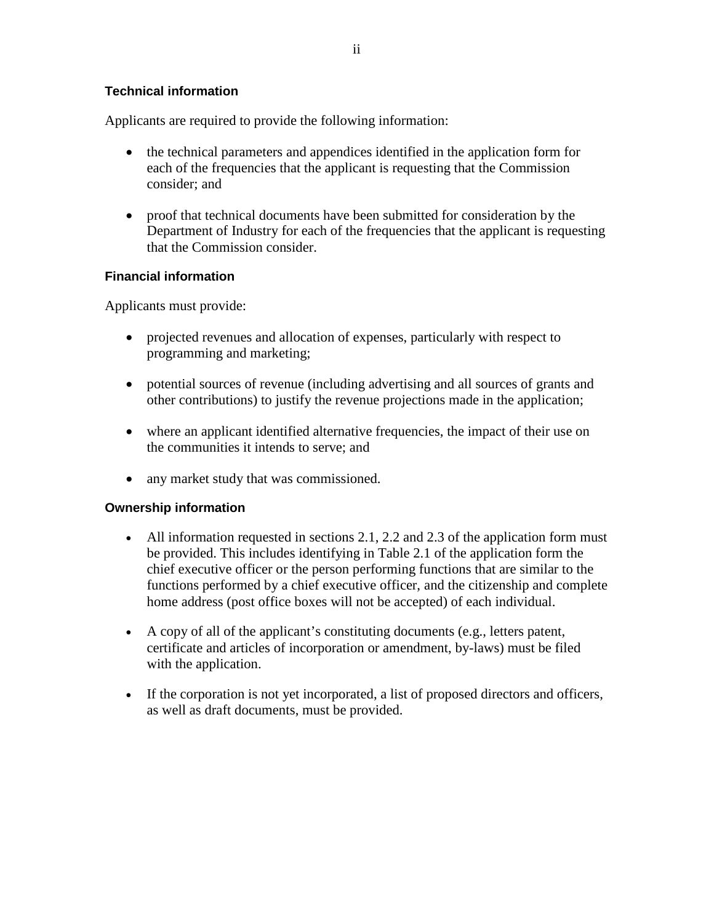Applicants are required to provide the following information:

- the technical parameters and appendices identified in the application form for each of the frequencies that the applicant is requesting that the Commission consider; and
- proof that technical documents have been submitted for consideration by the Department of Industry for each of the frequencies that the applicant is requesting that the Commission consider.

# **Financial information**

Applicants must provide:

- projected revenues and allocation of expenses, particularly with respect to programming and marketing;
- potential sources of revenue (including advertising and all sources of grants and other contributions) to justify the revenue projections made in the application;
- where an applicant identified alternative frequencies, the impact of their use on the communities it intends to serve; and
- any market study that was commissioned.

## **Ownership information**

- All information requested in sections 2.1, 2.2 and 2.3 of the application form must be provided. This includes identifying in Table 2.1 of the application form the chief executive officer or the person performing functions that are similar to the functions performed by a chief executive officer, and the citizenship and complete home address (post office boxes will not be accepted) of each individual.
- A copy of all of the applicant's constituting documents (e.g., letters patent, certificate and articles of incorporation or amendment, by-laws) must be filed with the application.
- If the corporation is not yet incorporated, a list of proposed directors and officers, as well as draft documents, must be provided.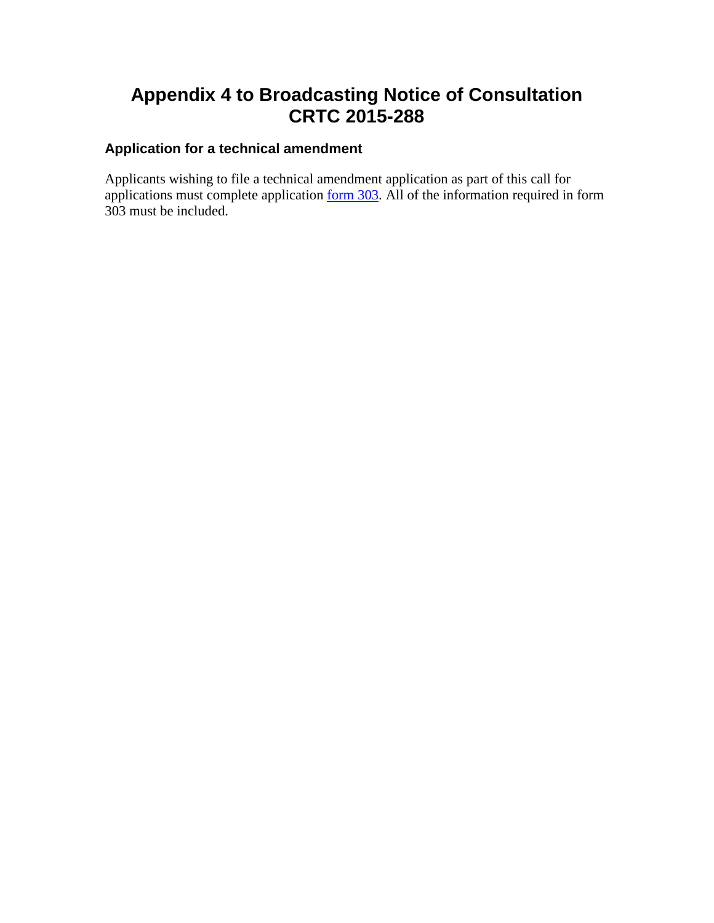# **Appendix 4 to Broadcasting Notice of Consultation CRTC 2015-288**

# **Application for a technical amendment**

Applicants wishing to file a technical amendment application as part of this call for applications must complete application  $\underline{\text{form 303}}$ . All of the information required in form 303 must be included.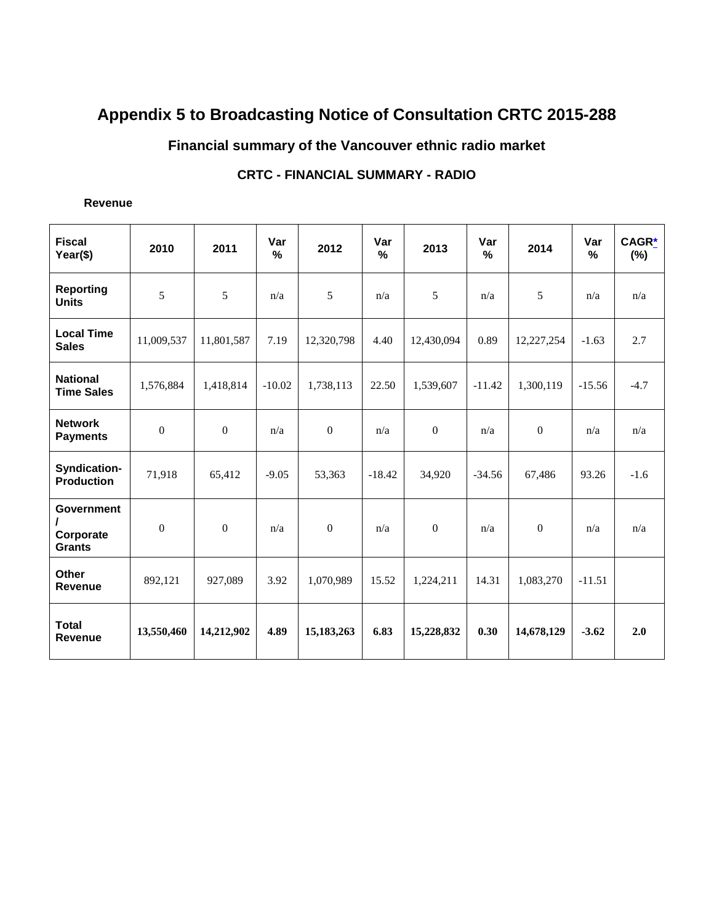# **Appendix 5 to Broadcasting Notice of Consultation CRTC 2015-288**

# **Financial summary of the Vancouver ethnic radio market**

# **CRTC - FINANCIAL SUMMARY - RADIO**

#### **Revenue**

| <b>Fiscal</b><br>Year(\$)                       | 2010             | 2011             | Var<br>$\%$ | 2012         | Var<br>$\frac{9}{6}$ | 2013         | Var<br>$\frac{0}{0}$ | 2014             | Var<br>$\frac{0}{0}$ | <b>CAGR*</b><br>$(\%)$ |
|-------------------------------------------------|------------------|------------------|-------------|--------------|----------------------|--------------|----------------------|------------------|----------------------|------------------------|
| <b>Reporting</b><br><b>Units</b>                | 5                | 5                | n/a         | 5            | n/a                  | 5            | n/a                  | 5                | n/a                  | n/a                    |
| <b>Local Time</b><br><b>Sales</b>               | 11,009,537       | 11,801,587       | 7.19        | 12,320,798   | 4.40                 | 12,430,094   | 0.89                 | 12,227,254       | $-1.63$              | 2.7                    |
| <b>National</b><br><b>Time Sales</b>            | 1,576,884        | 1,418,814        | $-10.02$    | 1,738,113    | 22.50                | 1,539,607    | $-11.42$             | 1,300,119        |                      | $-4.7$                 |
| <b>Network</b><br><b>Payments</b>               | $\mathbf{0}$     | $\mathbf{0}$     | n/a         | $\mathbf{0}$ | n/a                  | $\Omega$     | n/a                  | $\mathbf{0}$     | n/a                  | n/a                    |
| Syndication-<br><b>Production</b>               | 71,918           | 65,412           | $-9.05$     | 53,363       | $-18.42$             | 34,920       | $-34.56$             | 67,486           | 93.26                | $-1.6$                 |
| <b>Government</b><br>Corporate<br><b>Grants</b> | $\boldsymbol{0}$ | $\boldsymbol{0}$ | n/a         | $\mathbf{0}$ | n/a                  | $\mathbf{0}$ | n/a                  | $\boldsymbol{0}$ | n/a                  | n/a                    |
| <b>Other</b><br><b>Revenue</b>                  | 892,121          | 927,089          | 3.92        | 1,070,989    | 15.52                | 1,224,211    | 14.31                | 1,083,270        | $-11.51$             |                        |
| <b>Total</b><br><b>Revenue</b>                  | 13,550,460       | 14,212,902       | 4.89        | 15,183,263   | 6.83                 | 15,228,832   | 0.30                 | 14,678,129       | $-3.62$              | 2.0                    |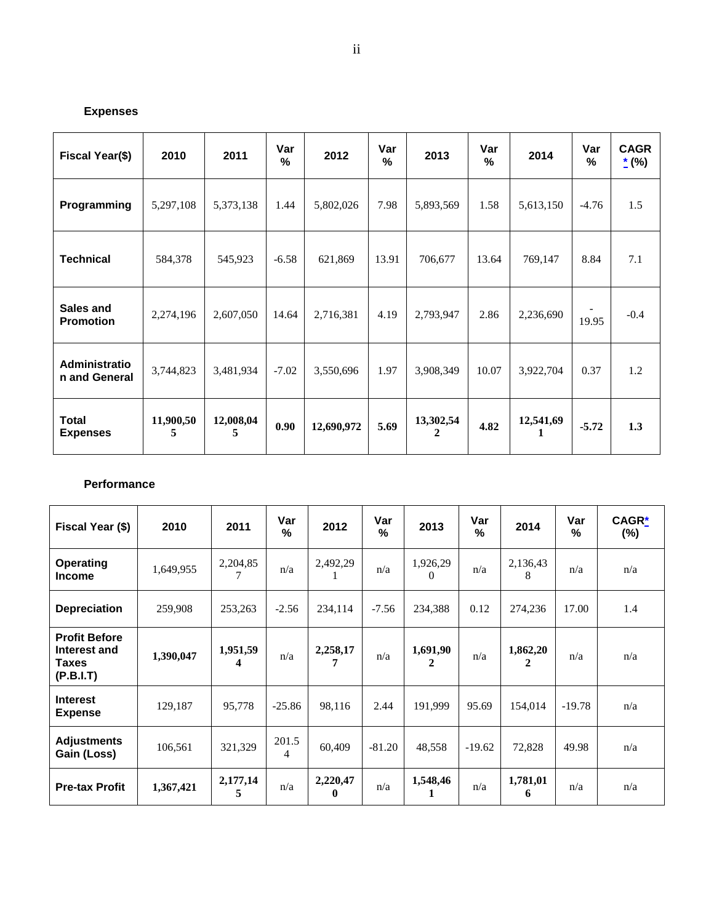# **Expenses**

| Fiscal Year(\$)                 | 2010           | 2011           | Var<br>% | 2012       | Var<br>% | 2013                      | Var<br>$\%$ | 2014      | Var<br>% | <b>CAGR</b><br>$*$ (%) |
|---------------------------------|----------------|----------------|----------|------------|----------|---------------------------|-------------|-----------|----------|------------------------|
| Programming                     | 5,297,108      | 5,373,138      | 1.44     | 5,802,026  | 7.98     | 5,893,569                 | 1.58        | 5,613,150 | $-4.76$  | 1.5                    |
| <b>Technical</b>                | 584,378        | 545,923        | $-6.58$  | 621,869    | 13.91    | 706,677                   | 13.64       | 769,147   | 8.84     | 7.1                    |
| Sales and<br><b>Promotion</b>   | 2,274,196      | 2,607,050      | 14.64    | 2,716,381  | 4.19     | 2,793,947                 | 2.86        | 2,236,690 | 19.95    | $-0.4$                 |
| Administratio<br>n and General  | 3,744,823      | 3,481,934      | $-7.02$  | 3,550,696  | 1.97     | 3,908,349                 | 10.07       | 3,922,704 | 0.37     | $1.2\,$                |
| <b>Total</b><br><b>Expenses</b> | 11,900,50<br>5 | 12,008,04<br>5 | 0.90     | 12,690,972 | 5.69     | 13,302,54<br>$\mathbf{2}$ | 4.82        | 12,541,69 | $-5.72$  | 1.3                    |

#### **Performance**

| Fiscal Year (\$)                                                  | 2010      | 2011          | Var<br>%   | 2012                 | Var<br>$\frac{9}{6}$ | 2013                 | Var<br>$\frac{0}{0}$ | 2014          | Var<br>$\%$ | CAGR*<br>$(\%)$ |
|-------------------------------------------------------------------|-----------|---------------|------------|----------------------|----------------------|----------------------|----------------------|---------------|-------------|-----------------|
| <b>Operating</b><br><b>Income</b>                                 | 1,649,955 | 2,204,85      | n/a        | 2,492,29             | n/a                  | 1,926,29<br>$\Omega$ | n/a                  | 2,136,43<br>8 | n/a         | n/a             |
| <b>Depreciation</b>                                               | 259,908   | 253,263       | $-2.56$    | 234.114              | $-7.56$              | 234,388              | 0.12                 | 274,236       | 17.00       | 1.4             |
| <b>Profit Before</b><br>Interest and<br><b>Taxes</b><br>(P.B.I.T) | 1,390,047 | 1,951,59<br>4 | n/a        | 2,258,17             | n/a                  | 1,691,90<br>2        | n/a                  | 1,862,20<br>2 | n/a         | n/a             |
| <b>Interest</b><br><b>Expense</b>                                 | 129,187   | 95,778        | $-25.86$   | 98,116               | 2.44                 | 191,999              | 95.69                | 154,014       | $-19.78$    | n/a             |
| <b>Adjustments</b><br>Gain (Loss)                                 | 106,561   | 321,329       | 201.5<br>4 | 60,409               | $-81.20$             | 48,558               | $-19.62$             | 72,828        | 49.98       | n/a             |
| <b>Pre-tax Profit</b>                                             | 1,367,421 | 2,177,14<br>5 | n/a        | 2,220,47<br>$\bf{0}$ | n/a                  | 1,548,46<br>1        | n/a                  | 1,781,01<br>6 | n/a         | n/a             |